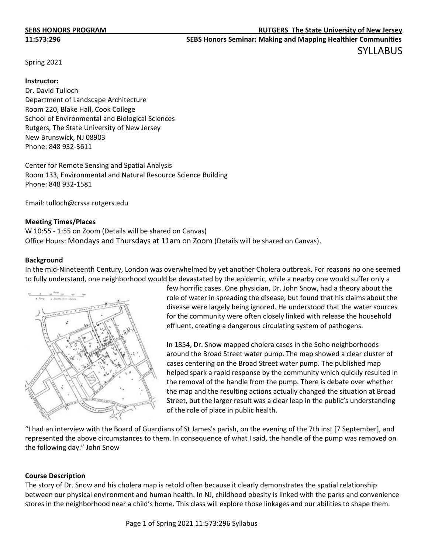Spring 2021

#### **Instructor:**

Dr. David Tulloch Department of Landscape Architecture Room 220, Blake Hall, Cook College School of Environmental and Biological Sciences Rutgers, The State University of New Jersey New Brunswick, NJ 08903 Phone: 848 932-3611

Center for Remote Sensing and Spatial Analysis Room 133, Environmental and Natural Resource Science Building Phone: 848 932-1581

Email: tulloch@crssa.rutgers.edu

#### **Meeting Times/Places**

W 10:55 - 1:55 on Zoom (Details will be shared on Canvas) Office Hours: Mondays and Thursdays at 11am on Zoom (Details will be shared on Canvas).

#### **Background**

In the mid-Nineteenth Century, London was overwhelmed by yet another Cholera outbreak. For reasons no one seemed to fully understand, one neighborhood would be devastated by the epidemic, while a nearby one would suffer only a



few horrific cases. One physician, Dr. John Snow, had a theory about the role of water in spreading the disease, but found that his claims about the disease were largely being ignored. He understood that the water sources for the community were often closely linked with release the household effluent, creating a dangerous circulating system of pathogens.

In 1854, Dr. Snow mapped cholera cases in the Soho neighborhoods around the Broad Street water pump. The map showed a clear cluster of cases centering on the Broad Street water pump. The published map helped spark a rapid response by the community which quickly resulted in the removal of the handle from the pump. There is debate over whether the map and the resulting actions actually changed the situation at Broad Street, but the larger result was a clear leap in the public's understanding of the role of place in public health.

"I had an interview with the Board of Guardians of St James's parish, on the evening of the 7th inst [7 September], and represented the above circumstances to them. In consequence of what I said, the handle of the pump was removed on the following day." John Snow

## **Course Description**

The story of Dr. Snow and his cholera map is retold often because it clearly demonstrates the spatial relationship between our physical environment and human health. In NJ, childhood obesity is linked with the parks and convenience stores in the neighborhood near a child's home. This class will explore those linkages and our abilities to shape them.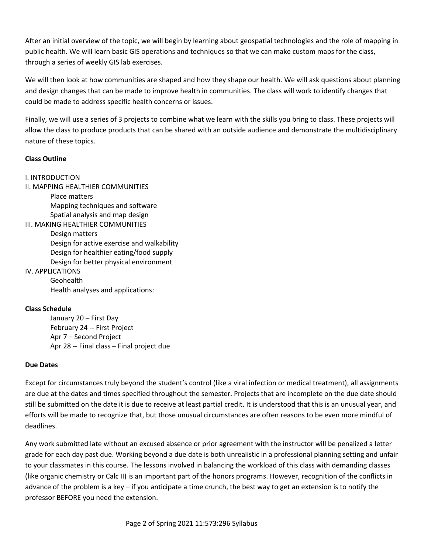After an initial overview of the topic, we will begin by learning about geospatial technologies and the role of mapping in public health. We will learn basic GIS operations and techniques so that we can make custom maps for the class, through a series of weekly GIS lab exercises.

We will then look at how communities are shaped and how they shape our health. We will ask questions about planning and design changes that can be made to improve health in communities. The class will work to identify changes that could be made to address specific health concerns or issues.

Finally, we will use a series of 3 projects to combine what we learn with the skills you bring to class. These projects will allow the class to produce products that can be shared with an outside audience and demonstrate the multidisciplinary nature of these topics.

# **Class Outline**

# I. INTRODUCTION

II. MAPPING HEALTHIER COMMUNITIES

Place matters Mapping techniques and software Spatial analysis and map design

III. MAKING HEALTHIER COMMUNITIES Design matters Design for active exercise and walkability Design for healthier eating/food supply Design for better physical environment

# IV. APPLICATIONS

Geohealth Health analyses and applications:

## **Class Schedule**

January 20 – First Day February 24 -- First Project Apr 7 – Second Project Apr 28 -- Final class – Final project due

## **Due Dates**

Except for circumstances truly beyond the student's control (like a viral infection or medical treatment), all assignments are due at the dates and times specified throughout the semester. Projects that are incomplete on the due date should still be submitted on the date it is due to receive at least partial credit. It is understood that this is an unusual year, and efforts will be made to recognize that, but those unusual circumstances are often reasons to be even more mindful of deadlines.

Any work submitted late without an excused absence or prior agreement with the instructor will be penalized a letter grade for each day past due. Working beyond a due date is both unrealistic in a professional planning setting and unfair to your classmates in this course. The lessons involved in balancing the workload of this class with demanding classes (like organic chemistry or Calc II) is an important part of the honors programs. However, recognition of the conflicts in advance of the problem is a key – if you anticipate a time crunch, the best way to get an extension is to notify the professor BEFORE you need the extension.